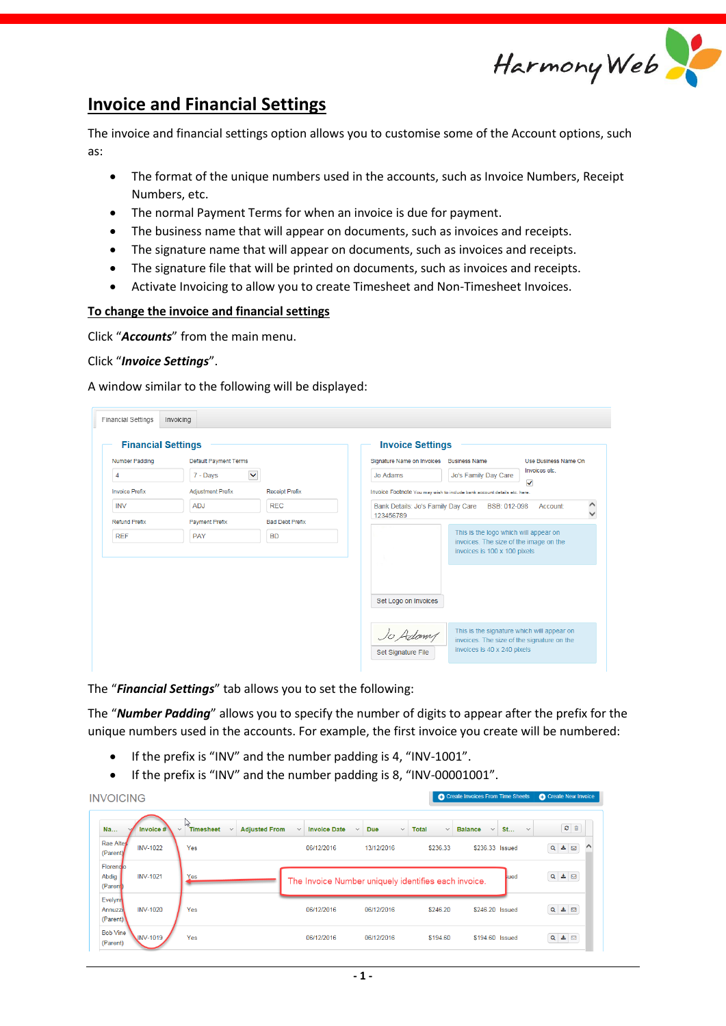

# **Invoice and Financial Settings**

The invoice and financial settings option allows you to customise some of the Account options, such as:

- The format of the unique numbers used in the accounts, such as Invoice Numbers, Receipt Numbers, etc.
- The normal Payment Terms for when an invoice is due for payment.
- The business name that will appear on documents, such as invoices and receipts.
- The signature name that will appear on documents, such as invoices and receipts.
- The signature file that will be printed on documents, such as invoices and receipts.
- Activate Invoicing to allow you to create Timesheet and Non-Timesheet Invoices.

#### **To change the invoice and financial settings**

Click "*Accounts*" from the main menu.

#### Click "*Invoice Settings*".

A window similar to the following will be displayed:

| <b>Financial Settings</b> |                              |                        | <b>Invoice Settings</b>                  |                                                                                                                 |                                            |
|---------------------------|------------------------------|------------------------|------------------------------------------|-----------------------------------------------------------------------------------------------------------------|--------------------------------------------|
| Number Padding            | <b>Default Payment Terms</b> |                        | Signature Name on Invoices Business Name |                                                                                                                 | Use Business Name On                       |
| $\overline{4}$            | $\checkmark$<br>7 - Days     |                        | Jo Adams                                 | Jo's Family Day Care                                                                                            | Invoices etc.<br>√                         |
| <b>Invoice Prefix</b>     | <b>Adjustment Prefix</b>     | <b>Receipt Prefix</b>  |                                          | Invoice Footnote You may wish to include bank account details etc. here.                                        |                                            |
| <b>INV</b>                | <b>ADJ</b>                   | <b>REC</b>             | Bank Details: Jo's Family Day Care       | BSB: 012-098                                                                                                    | $\hat{}$<br>Account:                       |
| <b>Refund Prefix</b>      | Payment Prefix               | <b>Bad Debt Prefix</b> | 123456789                                |                                                                                                                 |                                            |
| <b>REF</b>                | <b>PAY</b>                   | <b>BD</b>              |                                          | This is the logo which will appear on<br>invoices. The size of the image on the<br>invoices is 100 x 100 pixels |                                            |
|                           |                              |                        | Set Logo on Invoices                     |                                                                                                                 |                                            |
|                           |                              |                        | Jo Adamy                                 | This is the signature which will appear on                                                                      | invoices. The size of the signature on the |

The "*Financial Settings*" tab allows you to set the following:

The "*Number Padding*" allows you to specify the number of digits to appear after the prefix for the unique numbers used in the accounts. For example, the first invoice you create will be numbered:

- If the prefix is "INV" and the number padding is 4, "INV-1001".
- If the prefix is "INV" and the number padding is 8, "INV-00001001".

| <b>INVOICING</b>                                  |                                                                                |                                                      |                                            |                              | Create Invoices From Time Sheets                     | <b>C</b> Create New Invoice |
|---------------------------------------------------|--------------------------------------------------------------------------------|------------------------------------------------------|--------------------------------------------|------------------------------|------------------------------------------------------|-----------------------------|
| Na<br>Invoice #                                   | Иï<br><b>Timesheet</b><br><b>Adjusted From</b><br>$\checkmark$<br>$\checkmark$ | <b>Invoice Date</b><br>$\checkmark$                  | <b>Due</b><br>$\checkmark$<br>$\checkmark$ | <b>Total</b><br>$\checkmark$ | St<br><b>Balance</b><br>$\checkmark$<br>$\checkmark$ | $\sigma$ a                  |
| Rae Altes<br><b>INV-1022</b><br>(Parent)          | Yes                                                                            | 06/12/2016                                           | 13/12/2016                                 | \$236.33                     | \$236.33 Issued                                      | $Q = 1$<br>$\sim$           |
| Florencio<br>Abdig<br><b>INV-1021</b><br>(Parent  | Yes                                                                            | The Invoice Number uniquely identifies each invoice. |                                            |                              | lued                                                 | $Q \triangleq Q$            |
| Evelynn<br><b>INV-1020</b><br>Annuzzi<br>(Parent) | Yes                                                                            | 06/12/2016                                           | 06/12/2016                                 | \$246.20                     | \$246.20 Issued                                      | $Q \nightharpoonup R$       |
| <b>Bob Vine</b><br><b>INV-1019</b><br>(Parent)    | Yes                                                                            | 06/12/2016                                           | 06/12/2016                                 | \$194.60                     | \$194.60 Issued                                      | $Q = 1$                     |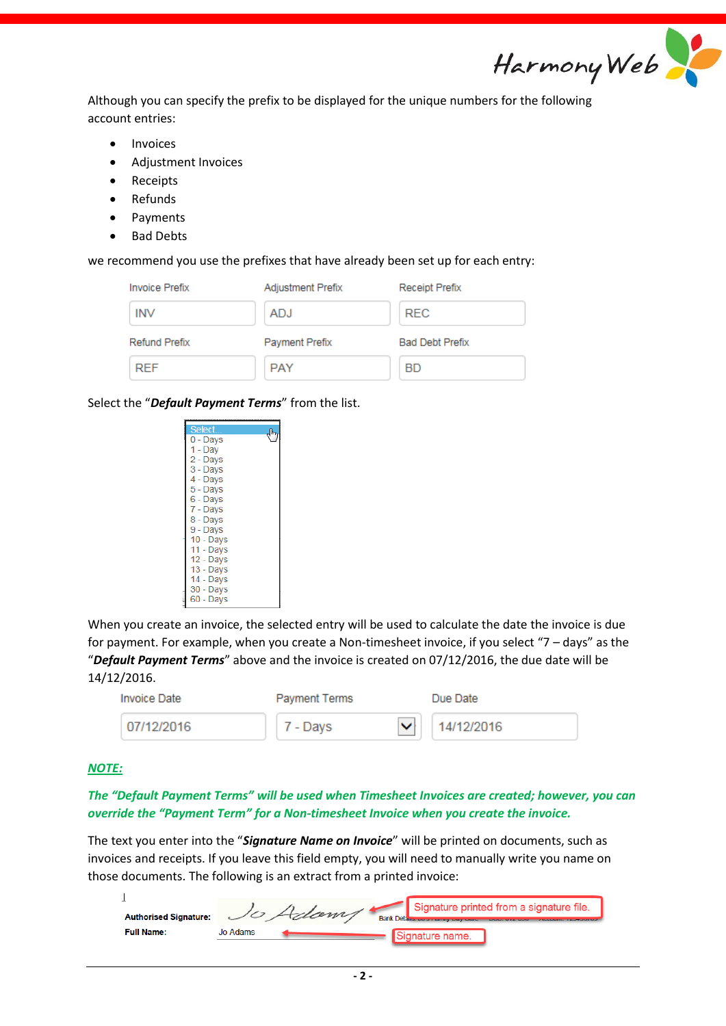Harmony Web

Although you can specify the prefix to be displayed for the unique numbers for the following account entries:

- Invoices
- Adjustment Invoices
- Receipts
- Refunds
- Payments
- Bad Debts

we recommend you use the prefixes that have already been set up for each entry:

| <b>Invoice Prefix</b> | <b>Adjustment Prefix</b> | Receipt Prefix         |
|-----------------------|--------------------------|------------------------|
| INV                   | <b>ADJ</b>               | <b>REC</b>             |
| <b>Refund Prefix</b>  | Payment Prefix           | <b>Bad Debt Prefix</b> |
| <b>RFF</b>            | <b>PAY</b>               | BГ                     |

Select the "*Default Payment Terms*" from the list.

| Select      |
|-------------|
| 0 - Days    |
| $1 - Day$   |
| 2 - Days    |
| 3 - Days    |
| 4 - Days    |
| 5 - Days    |
| 6 - Days    |
| 7 - Days    |
| 8 - Days    |
| 9 - Days    |
| $10 -$ Days |
| 11 - Days   |
| $12 -$ Days |
| 13 - Days   |
| $14 -$ Days |
| $30 -$ Days |
| 60 - Days   |
|             |

When you create an invoice, the selected entry will be used to calculate the date the invoice is due for payment. For example, when you create a Non-timesheet invoice, if you select "7 – days" as the "*Default Payment Terms*" above and the invoice is created on 07/12/2016, the due date will be 14/12/2016.

| Invoice Date | Payment Terms | Due Date   |
|--------------|---------------|------------|
| 07/12/2016   | 7 - Days      | 14/12/2016 |

#### *NOTE:*

#### *The "Default Payment Terms" will be used when Timesheet Invoices are created; however, you can override the "Payment Term" for a Non-timesheet Invoice when you create the invoice.*

The text you enter into the "*Signature Name on Invoice*" will be printed on documents, such as invoices and receipts. If you leave this field empty, you will need to manually write you name on those documents. The following is an extract from a printed invoice:

|                   |          | Authorised Signature: Jo Adam Assembly Signature printed from a signature file. |
|-------------------|----------|---------------------------------------------------------------------------------|
| <b>Full Name:</b> | Jo Adams | ure name.                                                                       |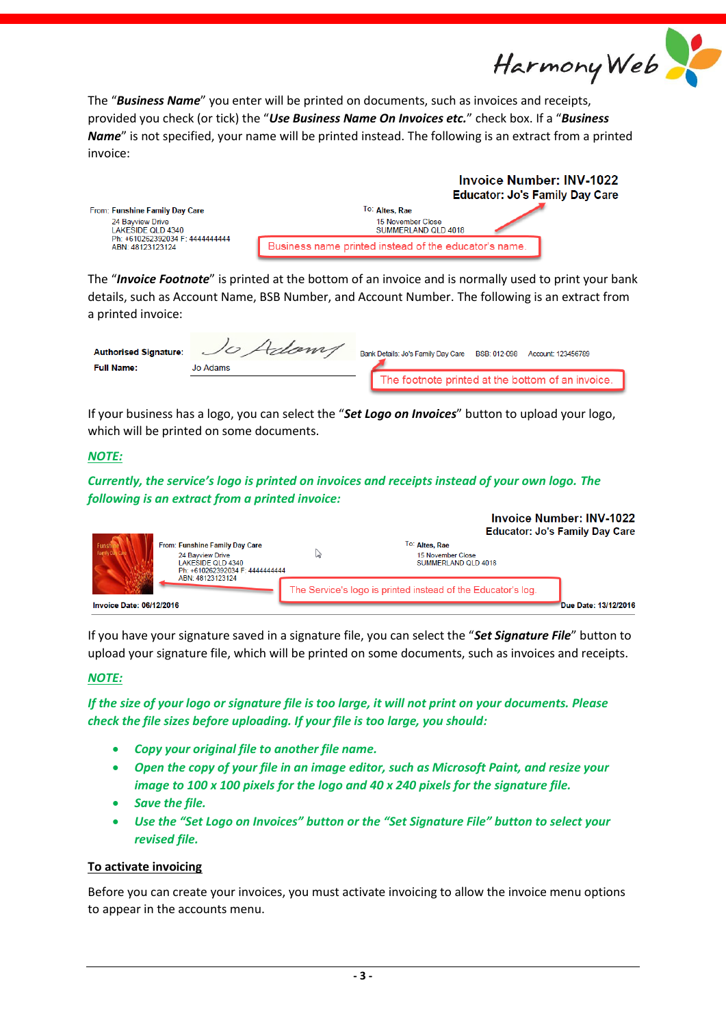Harmony Web

The "*Business Name*" you enter will be printed on documents, such as invoices and receipts, provided you check (or tick) the "*Use Business Name On Invoices etc.*" check box. If a "*Business Name*" is not specified, your name will be printed instead. The following is an extract from a printed invoice:

| <b>Educator: Jo's Family Day Care</b><br>To: Altes, Rae<br>From: Funshine Family Day Care<br>15 November Close<br>24 Bayview Drive |                   |                     | <b>Invoice Number: INV-1022</b> |
|------------------------------------------------------------------------------------------------------------------------------------|-------------------|---------------------|---------------------------------|
|                                                                                                                                    |                   |                     |                                 |
|                                                                                                                                    |                   |                     |                                 |
|                                                                                                                                    | LAKESIDE QLD 4340 | SUMMERLAND QLD 4018 |                                 |
| Ph: +610262392034 F: 4444444444<br>Business name printed instead of the educator's name.<br>ABN: 48123123124                       |                   |                     |                                 |

The "*Invoice Footnote*" is printed at the bottom of an invoice and is normally used to print your bank details, such as Account Name, BSB Number, and Account Number. The following is an extract from a printed invoice:

|                   | Authorised Signature: Jo Adamy | Bank Details: Jo's Family Day Care BSB: 012-098 Account: 123456789 |
|-------------------|--------------------------------|--------------------------------------------------------------------|
| <b>Full Name:</b> | Jo Adams                       |                                                                    |
|                   |                                | The footnote printed at the bottom of an invoice.                  |

If your business has a logo, you can select the "*Set Logo on Invoices*" button to upload your logo, which will be printed on some documents.

# *NOTE:*

*Currently, the service's logo is printed on invoices and receipts instead of your own logo. The following is an extract from a printed invoice:*

| From: Funshine Family Day Care<br>24 Bayview Drive<br>LAKESIDE QLD 4340                | <b>Invoice Number: INV-1022</b><br><b>Educator: Jo's Family Day Care</b><br>To: Altes, Rae<br>15 November Close<br>SUMMERLAND QLD 4018 |
|----------------------------------------------------------------------------------------|----------------------------------------------------------------------------------------------------------------------------------------|
| Ph: +610262392034 F: 4444444444<br>ABN: 48123123124<br><b>Invoice Date: 06/12/2016</b> | The Service's logo is printed instead of the Educator's log.<br>Due Date: 13/12/2016                                                   |

If you have your signature saved in a signature file, you can select the "*Set Signature File*" button to upload your signature file, which will be printed on some documents, such as invoices and receipts.

## *NOTE:*

*If the size of your logo or signature file is too large, it will not print on your documents. Please check the file sizes before uploading. If your file is too large, you should:*

- *Copy your original file to another file name.*
- *Open the copy of your file in an image editor, such as Microsoft Paint, and resize your image to 100 x 100 pixels for the logo and 40 x 240 pixels for the signature file.*
- *Save the file.*
- *Use the "Set Logo on Invoices" button or the "Set Signature File" button to select your revised file.*

## **To activate invoicing**

Before you can create your invoices, you must activate invoicing to allow the invoice menu options to appear in the accounts menu.